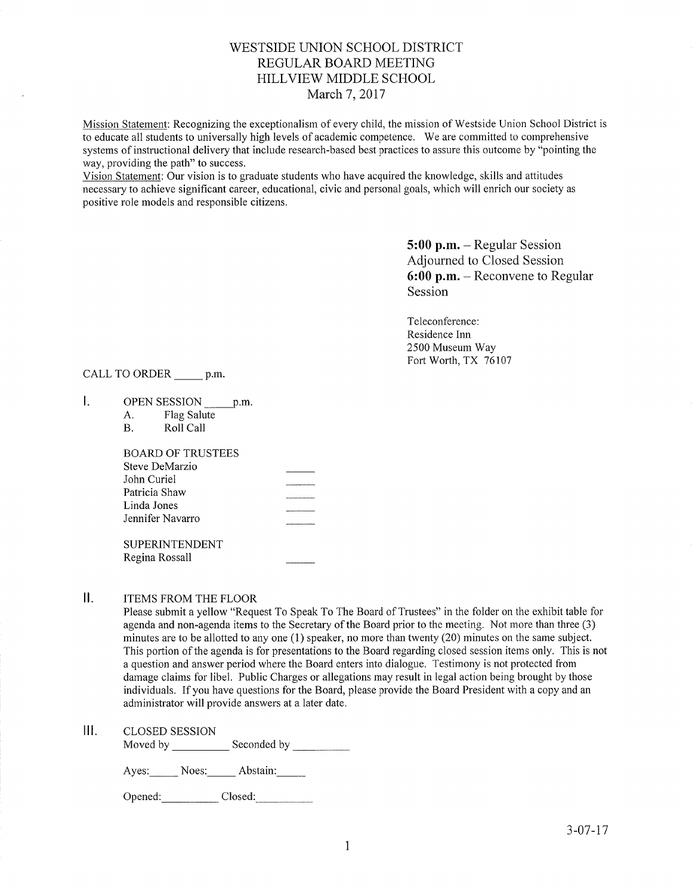# WESTSIDE UNION SCHOOL DISTRICT REGULAR BOARD MEETING HILLVIEW MIDDLE SCHOOL March 7, 2017

Mission Statement: Recognizing the exceptionalism of every child, the mission of Westside Union School District is to educate all students to universally high levels of academic competence. We are committed to comprehensive systems of instructional delivery that include research-based best practices to assure this outcome by "pointing the way, providing the path" to success.

Vision Statement: Our vision is to graduate students who have acquired the knowledge, skills and attitudes necessary to achieve significant career, educational, civic and personal goals, which will enrich our society as positive role models and responsible citizens.

> 5:00 p.m. - Regular Session Adjourned to Closed Session 6:00 p.m. - Reconvene to Regular Session

Teleconference: Residence Inn 2500 Museum Way Fort Worth, TX 76107

CALL TO ORDER \_\_\_\_\_ p.m.

- $\mathbf{L}$ OPEN SESSION p.m
	- A. Flag Salute B. Roll Call
	-

| BOARD OF TRUSTEES |                                                         |
|-------------------|---------------------------------------------------------|
| Steve DeMarzio    |                                                         |
| John Curiel       | -------------------                                     |
| Patricia Shaw     |                                                         |
| Linda Jones       | <b><i>RESERVED AND RESIDENT AT MONEY CONTINUES.</i></b> |
| Jennifer Navarro  |                                                         |
|                   |                                                         |
|                   |                                                         |

SUPERINTENDENT Regina Rossall

#### $II.$ ITEMS FROM THE FLOOR

Please submit a yellow "Request To Speak To The Board of Trustees" in the folder on the exhibit table for agenda and non-agenda items to the Secretary of the Board prior to the meeting. Not more than three (3) minutes are to be allotted to any one  $(1)$  speaker, no more than twenty  $(20)$  minutes on the same subject. This portion of the agenda is for presentations to the Board regarding closed session items only. This is not a question and answer period where the Board enters into dialogue. Testimony is not protected from damage claims for libel. Public Charges or allegations may result in legal action being brought by those individuals. If you have questions for the Board, please provide the Board President with a copy and an adminjstrator will provide answers at alater date.

Moved by Seconded by Seconded by Seconded by Seconded by Seconded by Seconded by Seconded by Seconded by Seconded by Seconded by Seconded by Seconded by Seconded by Seconded by Seconded by Seconded by Seconded by Seconded

Ayes: Noes: Abstain:

Opened: Closed: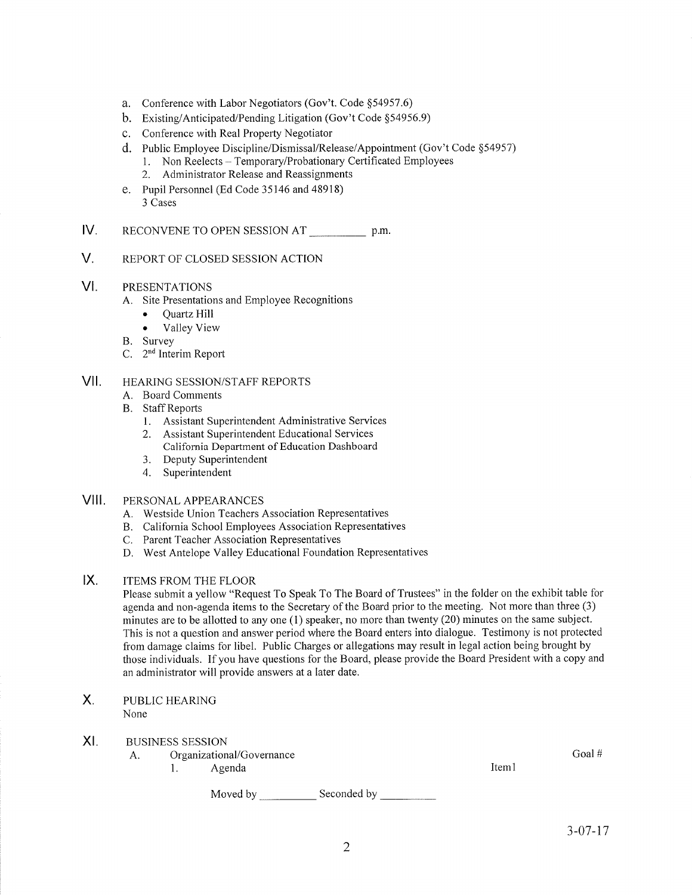- a. Conference with Labor Negotiators (Gov't. Code \$54957.6)
- b. Existing/Anticipated/Pending Litigation (Gov't Code \$54956.9)
- c. Conference with Real Property Negotiator
- d. Public Employee Discipline/Dismissal/Release/Appointment (Gov't Code §54957)<br>1. Non Reelects Temporary/Probationary Certificated Employees<br>2. Administrator Release and Reassignments
	-
	-
- e. Pupil Personnel (Ed Code 35146 and 48918) 3 Cases
- IV RECONVENE TO OPEN SESSION AT p.m.
- V. REPORT OF CLOSED SESSION ACTION
- VI PRESENTATIONS
	- A. Site Presentations and Employee Recognitions
		- . Quartz Hill
		- . Valley View
	-
	- B. Survey<br>C. 2<sup>nd</sup> Interim Report

### HEARING SESSION/STAFF REPORTS vil

- A. Board Comments
- B. Staff Reports
	- 1. Assistant Superintendent Administrative Services
	- 2. Assistant Superintendent Educational Services
		- California Department of Education Dashboard
	- 3. Deputy Superintendent
	- 4. Superintendent

## VIII. PERSoNALAPPEARANCES

- A. Westside Union Teachers Association Representatives
- B. Califomia School Employees Association Representatives
- C. Parent Teacher Association Representatives
- D. West Antelope Valley Educational Foundation Representatives
- $IX.$ ITEMS FROM THE FLOOR

Please submit a yellow "Request To Speak To The Board of Trustees" in the folder on the exhibit table for agenda and non-agenda items to the Secretary of the Board prior to the meeting. Not more than three (3) minutes are to be allotted to any one (l) speaker, no more than twenty (20) minutes on the same subject. This is not a question and answer period where the Board enters into dialogue. Testimony is not protected from damage claims for libel. Public Charges or allegations may result in legal action being brought by those individuals. If you have questions for the Board, please provide the Board President with a copy and an administrator will provide answers at a later date.

### X PUBLIC HEARING None

### BUSINESS SESSION XI

- A. Organizational/Governance
	- 1. Agenda

Iteml

Seconded by Moved by Goal #<br> $\text{Item 1}$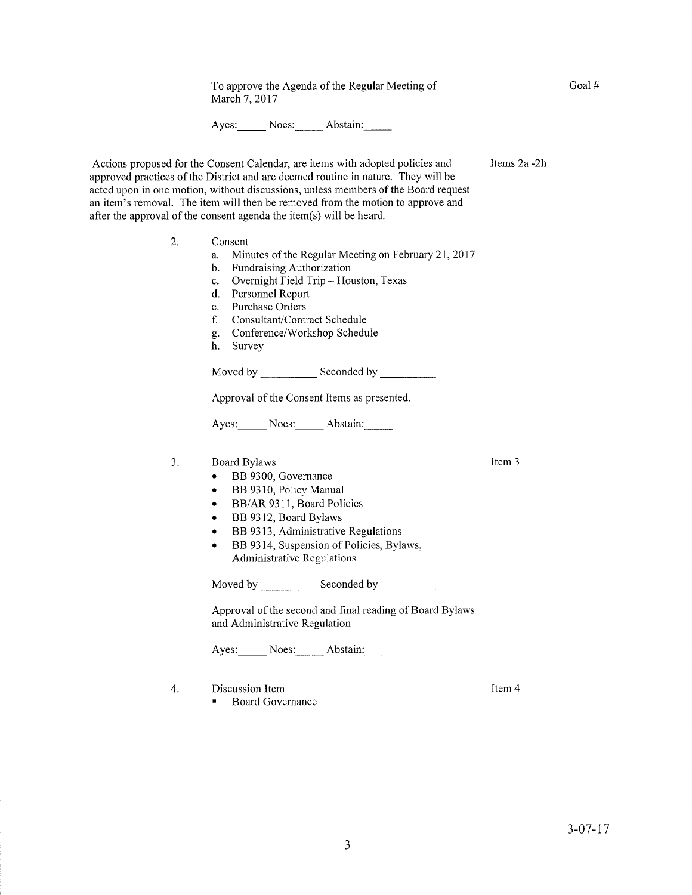To approve the Agenda of the Regular Meeting of March 7, 2017

Ayes: Noes: Abstain:

Actions proposed for the Consent Calendar, are items with adopted policies and approved practices of the District and are deemed routine in nature. They will be acted upon in one motion, without discussions, unless members of the Board request an item's removal. The item will then be removed from the motion to approve and after the approval of the consent agenda the item(s) will be heard.

- Consent 2
	- a. Minutes of the Regular Meeting on February 21,2017
	- b. Fundraising Authorization
	- c. Overnight Field Trip Houston, Texas d. Personnel Report
	-
	- e. Purchase Orders
	- f. Consultant/Contract Schedule
	- C. Conference/Workshop Schedule h. Survey
	-

Moved by Seconded by Seconded by

Approval of the Consent Items as presented.

Ayes: Noes: Abstain:

3. Board Bylaws

- BB 9300, Governance
- BB 9310, Policy Manual
- BB/AR 9311, Board Policies
- BB 9312, Board Bylaws
- BB 9313, Administrative Regulations
- BB 9314, Suspension of Policies, Bylaws, Administrative Regulations

Moved by \_\_\_\_\_\_\_\_\_\_\_\_ Seconded by \_

Approval of the second and final reading of Board Bylaws and Administrative Regulation

Ayes: Noes: Abstain:

- 4. Discussion Item
	- . Board Governance

Item 4

Item 3

Items 2a -2h

Goal #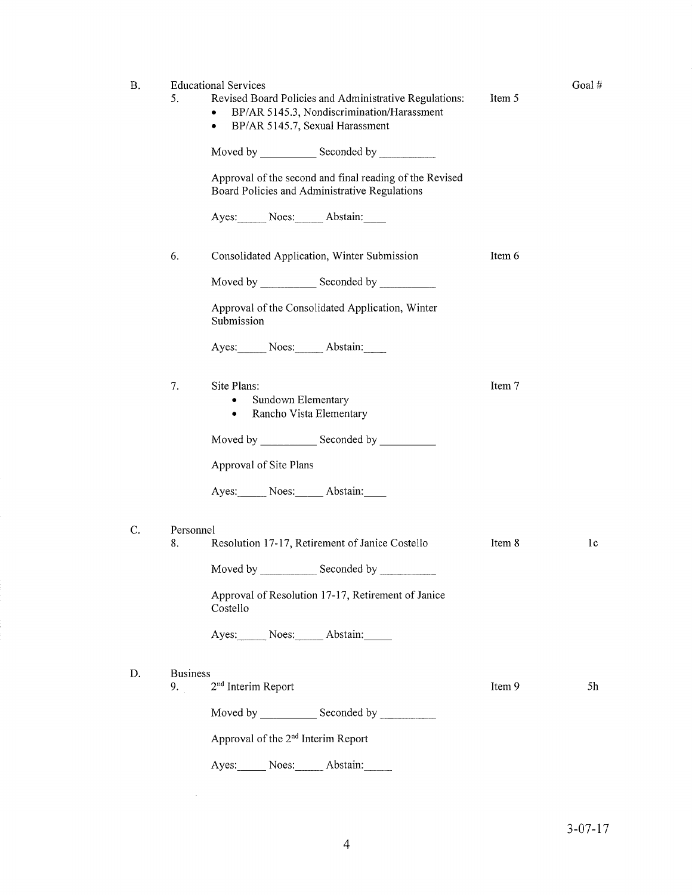| <b>B.</b> | <b>Educational Services</b>                                    |                                                         |        | Goal# |
|-----------|----------------------------------------------------------------|---------------------------------------------------------|--------|-------|
|           | 5.                                                             | Revised Board Policies and Administrative Regulations:  | Item 5 |       |
|           | ٠<br>BP/AR 5145.7, Sexual Harassment<br>٠                      | BP/AR 5145.3, Nondiscrimination/Harassment              |        |       |
|           |                                                                |                                                         |        |       |
|           | Board Policies and Administrative Regulations                  | Approval of the second and final reading of the Revised |        |       |
|           | Ayes: Noes: Abstain:                                           |                                                         |        |       |
|           | 6.<br>Consolidated Application, Winter Submission              |                                                         | Item 6 |       |
|           |                                                                |                                                         |        |       |
|           | Approval of the Consolidated Application, Winter<br>Submission |                                                         |        |       |
|           | Ayes: Noes: Abstain:                                           |                                                         |        |       |
|           | 7.<br>Site Plans:<br>Sundown Elementary<br>٠                   |                                                         | Item 7 |       |
|           | Rancho Vista Elementary<br>٠                                   |                                                         |        |       |
|           |                                                                |                                                         |        |       |
|           | Approval of Site Plans                                         |                                                         |        |       |
|           | Ayes: Noes: Abstain:                                           |                                                         |        |       |
| C.        | Personnel                                                      |                                                         |        |       |
|           | Resolution 17-17, Retirement of Janice Costello<br>8.          |                                                         | Item 8 | 1c    |
|           | Moved by Seconded by Seconder                                  |                                                         |        |       |
|           | Costello                                                       | Approval of Resolution 17-17, Retirement of Janice      |        |       |
|           | Ayes: Noes: Abstain:                                           |                                                         |        |       |
| D.        | <b>Business</b>                                                |                                                         |        |       |
|           | 2 <sup>nd</sup> Interim Report<br>9.                           |                                                         | Item 9 | 5h    |
|           |                                                                |                                                         |        |       |

Approval of the 2nd Interim Report

 $\sim 10^{-1}$ 

Ayes: Noes: Abstain: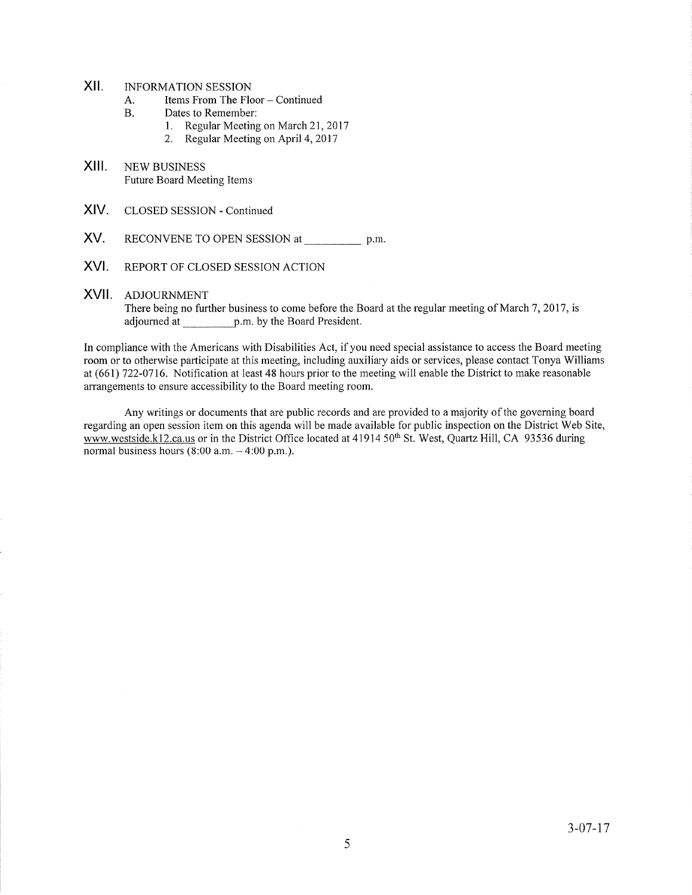## XII. INFORMATION SESSION

- A. Items From The Floor Continued
- B. Dates to Remember:
	- l. Regular Meeting on March 21,2011
	- 2. Regular Meeting on April 4, 2017
- XIII. NEW BUSINESS Future Board Meeting Items
- XIV. CLOSED SESSION - Continued
- XV. RECONVENE TO OPEN SESSION at p.m
- XVI. REPORT OF CLOSED SESSION ACTION

## XVII. ADJOURNMENT

There being no further business to come before the Board at the regular meeting of March 7, 2017, is adjourned at p.m. by the Board President.

In compliance with the Americans with Disabilities Act, if you need special assjstance to access the Board meeting room or to otherwise participate at this meeting, including auxiliary aids or services, please contact Tonya Williams at (661) 722-0716. Notification at least 48 hours prior to the meeting will enable the District to make reasonable arrangements to ensure accessibility to the Board meeting room.

Any writings or documents that are public records and are provided to a majority of the governing board regarding an open session item on this agenda will be made available for public inspection on the District Web Site, www.westside.k12.ca.us or in the District Office located at 41914 50<sup>th</sup> St. West, Quartz Hill, CA 93536 during normal business hours  $(8:00$  a.m.  $-4:00$  p.m.).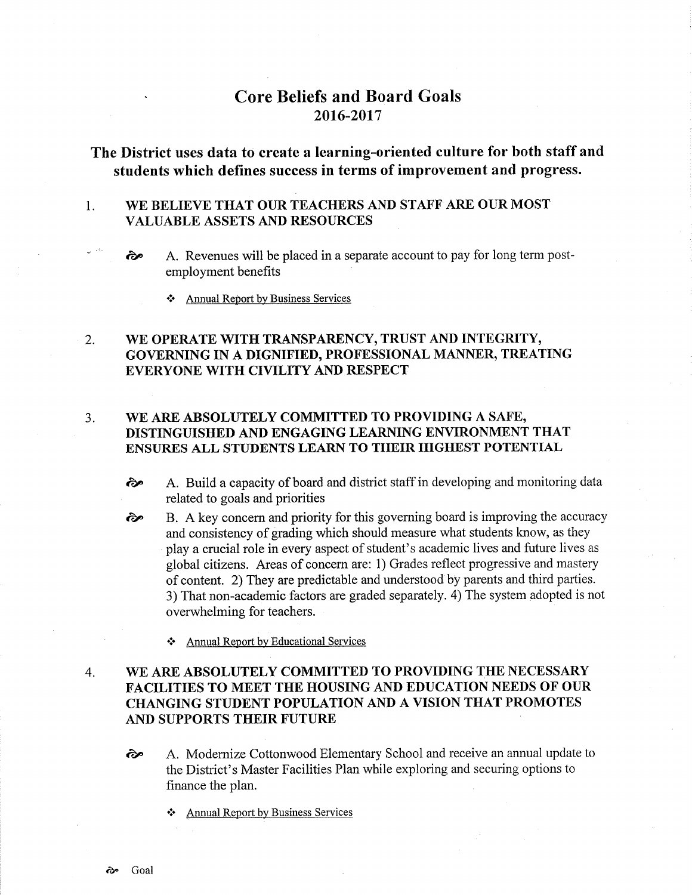# Core Beliefs and Board Goals 2016-2017

The District uses data to create a learning-oriented culture for both staff and students which defines success in terms of improvement and progress.

### I WE BELIEVE THAT OUR TEACHERS AND STAFF ARE OUR MOST VALUABLE ASSETS AND RESOURCES

- èp A. Revenues will be placed in a separate account to pay for long term postemployment benefits
	- \* Annual Reþort by Business Services

## 2. WE OPERATE WITH TRANSPARENCY, TRUST AND INTEGRITY, GOVERNING IN A DIGNIFIED, PROFESSIONAL MANNER, TREATING EVERYONE WITH CIVILITY AND RESPECT

### J WE ARE ABSOLUTELY COMMITTED TO PROVIDING A SAFE, DISTINGUISHED AND ENGAGING LEARNING ENVIRONMENT THAT ENSURES ALL STUDENTS LEARN TO THEIR HIGHEST POTENTIAL

- èp A. Build a capacity of board and district staff in developing and monitoring data related to goals and priorities
- B. A key concern and priority for this goveming board is improving the accuracy and consistency of grading which should measure what students know, as they play acrucial role in every aspect of student's academic lives and future lives as global citizens. Areas of concem are: 1) Grades reflect progressive and mastery of content. 2) They are predictable and understood by parents and third parties. 3) That non-academic factors are graded separately. 4) The system adopted is not overwhelming for teachers. èp
	- \* Annual Report by Educational Services

## WE ARE ABSOLUTELY COMMITTED TO PROVIDING THE NECESSARY FACILITIES TO MEET THE HOUSING AND EDUCATION NEEDS OF OUR CHANGING STUDENT POPULATION AND A VISION THAT PROMOTES AND SUPPORTS THEIR FUTURE 4.

- rãe A. Modernize Cottonwood Elementary School and receive an annual update to the District's Master Facilities Plan while exploring and securing options to finance the plan.
	- \* Annual Report by Business Services

بمدان